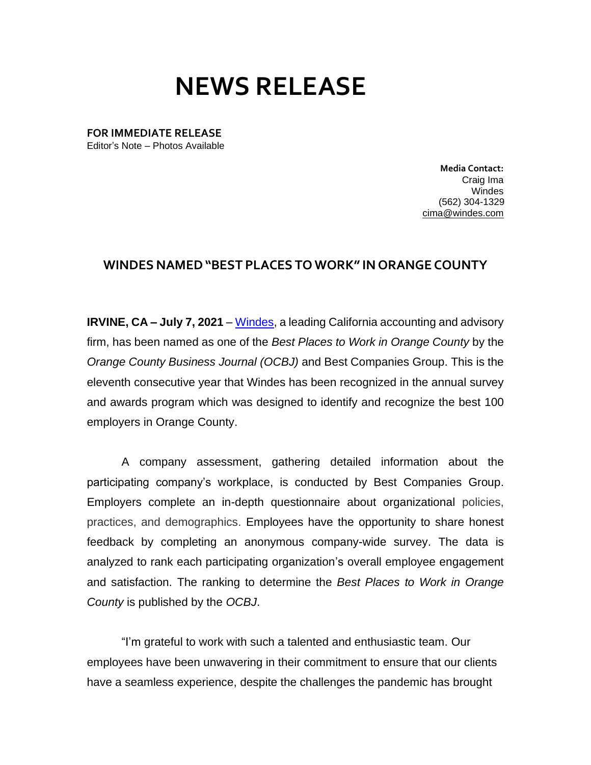## **NEWS RELEASE**

**FOR IMMEDIATE RELEASE** Editor's Note – Photos Available

> **Media Contact:**  Craig Ima Windes (562) 304-1329 [cima@windes.com](mailto:cima@windes.com)

## **WINDES NAMED"BEST PLACES TO WORK" IN ORANGE COUNTY**

**IRVINE, CA – July 7, 2021** – [Windes,](https://windes.com/) a leading California accounting and advisory firm, has been named as one of the *Best Places to Work in Orange County* by the *Orange County Business Journal (OCBJ)* and Best Companies Group. This is the eleventh consecutive year that Windes has been recognized in the annual survey and awards program which was designed to identify and recognize the best 100 employers in Orange County.

A company assessment, gathering detailed information about the participating company's workplace, is conducted by Best Companies Group. Employers complete an in-depth questionnaire about organizational policies, practices, and demographics. Employees have the opportunity to share honest feedback by completing an anonymous company-wide survey. The data is analyzed to rank each participating organization's overall employee engagement and satisfaction. The ranking to determine the *Best Places to Work in Orange County* is published by the *OCBJ*.

"I'm grateful to work with such a talented and enthusiastic team. Our employees have been unwavering in their commitment to ensure that our clients have a seamless experience, despite the challenges the pandemic has brought